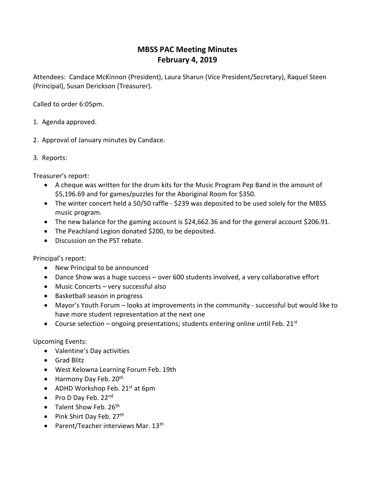## **MBSS PAC Meeting Minutes February 4, 2019**

Attendees: Candace McKinnon (President), Laura Sharun (Vice President/Secretary), Raquel Steen (Principal), Susan Derickson (Treasurer).

Called to order 6:05pm.

- 1. Agenda approved.
- 2. Approval of January minutes by Candace.
- 3. Reports:

Treasurer's report:

- A cheque was written for the drum kits for the Music Program Pep Band in the amount of \$5,196.69 and for games/puzzles for the Aboriginal Room for \$350.
- The winter concert held a 50/50 raffle \$239 was deposited to be used solely for the MBSS music program.
- The new balance for the gaming account is \$24,662.36 and for the general account \$206.91.
- The Peachland Legion donated \$200, to be deposited.
- Discussion on the PST rebate.

Principal's report:

- New Principal to be announced
- Dance Show was a huge success over 600 students involved, a very collaborative effort
- Music Concerts very successful also
- Basketball season in progress
- Mayor's Youth Forum looks at improvements in the community successful but would like to have more student representation at the next one
- Course selection ongoing presentations; students entering online until Feb. 21st

## Upcoming Events:

- Valentine's Day activities
- Grad Blitz
- West Kelowna Learning Forum Feb. 19th
- $\bullet$  Harmony Day Feb. 20<sup>th</sup>
- ADHD Workshop Feb.  $21^{st}$  at 6pm
- Pro D Day Feb. 22nd
- $\bullet$  Talent Show Feb. 26<sup>th</sup>
- Pink Shirt Day Feb.  $27<sup>th</sup>$
- Parent/Teacher interviews Mar.  $13<sup>th</sup>$